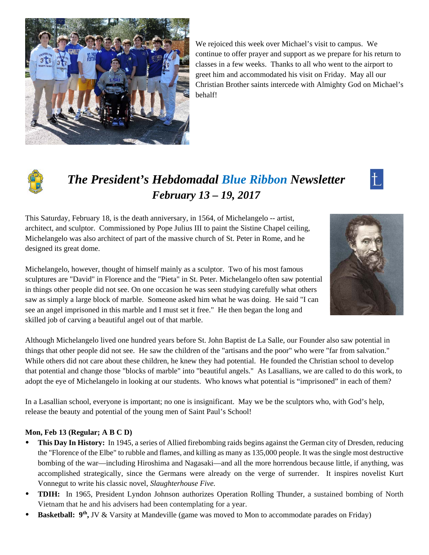

We rejoiced this week over Michael's visit to campus. We continue to offer prayer and support as we prepare for his return to classes in a few weeks. Thanks to all who went to the airport to greet him and accommodated his visit on Friday. May all our Christian Brother saints intercede with Almighty God on Michael's behalf!



# *The President's Hebdomadal Blue Ribbon Newsletter February 13 – 19, 2017*



This Saturday, February 18, is the death anniversary, in 1564, of Michelangelo -- artist, architect, and sculptor. Commissioned by Pope Julius III to paint the Sistine Chapel ceiling, Michelangelo was also architect of part of the massive church of St. Peter in Rome, and he designed its great dome.

Michelangelo, however, thought of himself mainly as a sculptor. Two of his most famous sculptures are "David" in Florence and the "Pieta" in St. Peter. Michelangelo often saw potential in things other people did not see. On one occasion he was seen studying carefully what others saw as simply a large block of marble. Someone asked him what he was doing. He said "I can see an angel imprisoned in this marble and I must set it free." He then began the long and skilled job of carving a beautiful angel out of that marble.

Although Michelangelo lived one hundred years before St. John Baptist de La Salle, our Founder also saw potential in things that other people did not see. He saw the children of the "artisans and the poor" who were "far from salvation." While others did not care about these children, he knew they had potential. He founded the Christian school to develop that potential and change those "blocks of marble" into "beautiful angels." As Lasallians, we are called to do this work, to adopt the eye of Michelangelo in looking at our students. Who knows what potential is "imprisoned" in each of them?

In a Lasallian school, everyone is important; no one is insignificant. May we be the sculptors who, with God's help, release the beauty and potential of the young men of Saint Paul's School!

#### **Mon, Feb 13 (Regular; A B C D)**

- **This Day In History:** In 1945, a series of Allied firebombing raids begins against the German city of Dresden, reducing the "Florence of the Elbe" to rubble and flames, and killing as many as 135,000 people. It was the single most destructive bombing of the war—including Hiroshima and Nagasaki—and all the more horrendous because little, if anything, was accomplished strategically, since the Germans were already on the verge of surrender. It inspires novelist Kurt Vonnegut to write his classic novel, *Slaughterhouse Five.*
- **TDIH:** In 1965, President Lyndon Johnson authorizes Operation Rolling Thunder, a sustained bombing of North Vietnam that he and his advisers had been contemplating for a year.
- **Basketball:** 9<sup>th</sup>, JV & Varsity at Mandeville (game was moved to Mon to accommodate parades on Friday)

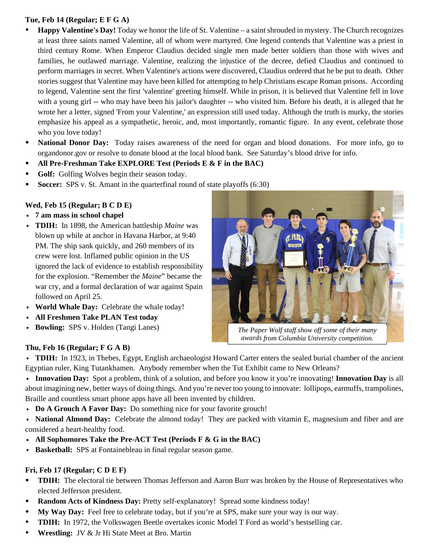#### **Tue, Feb 14 (Regular; E F G A)**

- **Happy Valentine's Day!** Today we honor the life of St. Valentine a saint shrouded in mystery. The Church recognizes at least three saints named Valentine, all of whom were martyred. One legend contends that Valentine was a priest in third century Rome. When Emperor Claudius decided single men made better soldiers than those with wives and families, he outlawed marriage. Valentine, realizing the injustice of the decree, defied Claudius and continued to perform marriages in secret. When Valentine's actions were discovered, Claudius ordered that he be put to death. Other stories suggest that Valentine may have been killed for attempting to help Christians escape Roman prisons. According to legend, Valentine sent the first 'valentine' greeting himself. While in prison, it is believed that Valentine fell in love with a young girl -- who may have been his jailor's daughter -- who visited him. Before his death, it is alleged that he wrote her a letter, signed 'From your Valentine,' an expression still used today. Although the truth is murky, the stories emphasize his appeal as a sympathetic, heroic, and, most importantly, romantic figure. In any event, celebrate those who you love today!
- **National Donor Day:** Today raises awareness of the need for organ and blood donations. For more info, go to organdonor.gov or resolve to donate blood at the local blood bank. See Saturday's blood drive for info.
- **All Pre-Freshman Take EXPLORE Test (Periods E & F in the BAC)**
- **Golf:** Golfing Wolves begin their season today.
- **Soccer:** SPS v. St. Amant in the quarterfinal round of state playoffs (6:30)

#### **Wed, Feb 15 (Regular; B C D E)**

- v **7 am mass in school chapel**
- **TDIH:** In 1898, the American battleship *Maine* was blown up while at anchor in Havana Harbor, at 9:40 PM. The ship sank quickly, and 260 members of its crew were lost. Inflamed public opinion in the US ignored the lack of evidence to establish responsibility for the explosion. "Remember the *Maine*" became the war cry, and a formal declaration of war against Spain followed on April 25.
- World Whale Day: Celebrate the whale today!
- v **All Freshmen Take PLAN Test today**
- **Bowling:** SPS v. Holden (Tangi Lanes)

# *The Paper Wolf staff show off some of their many awards from Columbia University competition.*

# **Thu, Feb 16 (Regular; F G A B)**

v **TDIH:** In 1923, in Thebes, Egypt, English archaeologist Howard Carter enters the sealed burial chamber of the ancient Egyptian ruler, King Tutankhamen. Anybody remember when the Tut Exhibit came to New Orleans?

- v **Innovation Day:** Spot a problem, think of a solution, and before you know it you're innovating! **Innovation Day** is all about imagining new, better ways of doing things. And you're never too young to innovate: lollipops, earmuffs, trampolines, Braille and countless smart phone apps have all been invented by children.
- **Do A Grouch A Favor Day:** Do something nice for your favorite grouch!

• **National Almond Day:** Celebrate the almond today! They are packed with vitamin E, magnesium and fiber and are considered a heart-healthy food.

- v **All Sophomores Take the Pre-ACT Test (Periods F & G in the BAC)**
- v **Basketball:** SPS at Fontainebleau in final regular season game.

# **Fri, Feb 17 (Regular; C D E F)**

- **TDIH:** The electoral tie between Thomas Jefferson and Aaron Burr was broken by the House of Representatives who elected Jefferson president.
- **Random Acts of Kindness Day:** Pretty self-explanatory! Spread some kindness today!
- **My Way Day:** Feel free to celebrate today, but if you're at SPS, make sure your way is our way.
- **TDIH:** In 1972, the Volkswagen Beetle overtakes iconic Model T Ford as world's bestselling car.
- **Wrestling:** JV & Jr Hi State Meet at Bro. Martin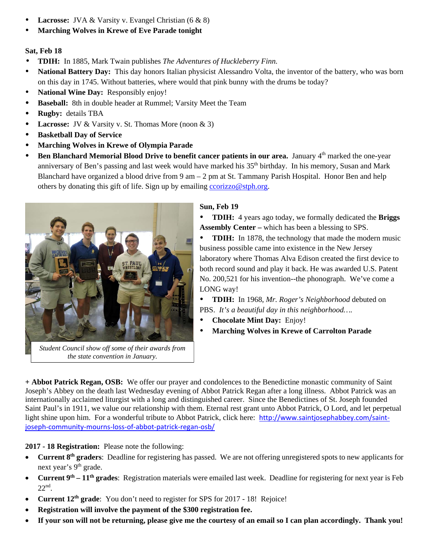- **Lacrosse:** JVA & Varsity v. Evangel Christian (6 & 8)
- **Marching Wolves in Krewe of Eve Parade tonight**

#### **Sat, Feb 18**

- **TDIH:** In 1885, Mark Twain publishes *The Adventures of Huckleberry Finn.*
- **National Battery Day:** This day honors Italian physicist Alessandro Volta, the inventor of the battery, who was born on this day in 1745. Without batteries, where would that pink bunny with the drums be today?
- **National Wine Day:** Responsibly enjoy!
- **Baseball:** 8th in double header at Rummel; Varsity Meet the Team
- **Rugby:** details TBA
- Lacrosse: JV & Varsity v. St. Thomas More (noon & 3)
- **Basketball Day of Service**
- **Marching Wolves in Krewe of Olympia Parade**
- **Ben Blanchard Memorial Blood Drive to benefit cancer patients in our area.** January 4<sup>th</sup> marked the one-year anniversary of Ben's passing and last week would have marked his 35<sup>th</sup> birthday. In his memory, Susan and Mark Blanchard have organized a blood drive from 9 am – 2 pm at St. Tammany Parish Hospital. Honor Ben and help others by donating this gift of life. Sign up by emailing ccorizzo@stph.org.



*Student Council show off some of their awards from the state convention in January.* 

#### **Sun, Feb 19**

 **TDIH:** 4 years ago today, we formally dedicated the **Briggs Assembly Center –** which has been a blessing to SPS.

 **TDIH:** In 1878, the technology that made the modern music business possible came into existence in the New Jersey laboratory where Thomas Alva Edison created the first device to both record sound and play it back. He was awarded U.S. Patent No. 200,521 for his invention--the phonograph. We've come a LONG way!

 **TDIH:** In 1968, *Mr. Roger's Neighborhood* debuted on PBS. *It's a beautiful day in this neighborhood….*

- **Chocolate Mint Day:** Enjoy!
- **Marching Wolves in Krewe of Carrolton Parade**

**+ Abbot Patrick Regan, OSB:** We offer our prayer and condolences to the Benedictine monastic community of Saint Joseph's Abbey on the death last Wednesday evening of Abbot Patrick Regan after a long illness. Abbot Patrick was an internationally acclaimed liturgist with a long and distinguished career. Since the Benedictines of St. Joseph founded Saint Paul's in 1911, we value our relationship with them. Eternal rest grant unto Abbot Patrick, O Lord, and let perpetual light shine upon him. For a wonderful tribute to Abbot Patrick, click here: http://www.saintjosephabbey.com/saintjoseph‐community‐mourns‐loss‐of‐abbot‐patrick‐regan‐osb/

**2017 - 18 Registration:** Please note the following:

- **Current 8<sup>th</sup> graders**: Deadline for registering has passed. We are not offering unregistered spots to new applicants for next year's 9<sup>th</sup> grade.
- Current 9<sup>th</sup> 11<sup>th</sup> grades: Registration materials were emailed last week. Deadline for registering for next year is Feb  $22<sup>nd</sup>$ .
- **Current 12th grade**: You don't need to register for SPS for 2017 18! Rejoice!
- **Registration will involve the payment of the \$300 registration fee.**
- **If your son will not be returning, please give me the courtesy of an email so I can plan accordingly. Thank you!**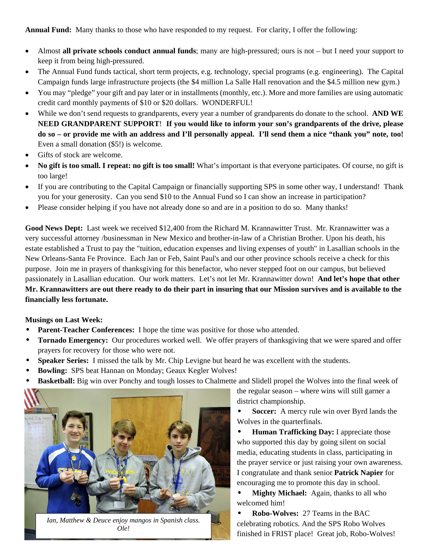**Annual Fund:** Many thanks to those who have responded to my request. For clarity, I offer the following:

- Almost **all private schools conduct annual funds**; many are high-pressured; ours is not but I need your support to keep it from being high-pressured.
- The Annual Fund funds tactical, short term projects, e.g. technology, special programs (e.g. engineering). The Capital Campaign funds large infrastructure projects (the \$4 million La Salle Hall renovation and the \$4.5 million new gym.)
- You may "pledge" your gift and pay later or in installments (monthly, etc.). More and more families are using automatic credit card monthly payments of \$10 or \$20 dollars. WONDERFUL!
- While we don't send requests to grandparents, every year a number of grandparents do donate to the school. **AND WE NEED GRANDPARENT SUPPORT**! **If you would like to inform your son's grandparents of the drive, please do so – or provide me with an address and I'll personally appeal. I'll send them a nice "thank you" note, too!** Even a small donation (\$5!) is welcome.
- Gifts of stock are welcome.
- **No gift is too small. I repeat: no gift is too small!** What's important is that everyone participates. Of course, no gift is too large!
- If you are contributing to the Capital Campaign or financially supporting SPS in some other way, I understand! Thank you for your generosity. Can you send \$10 to the Annual Fund so I can show an increase in participation?
- Please consider helping if you have not already done so and are in a position to do so. Many thanks!

**Good News Dept:** Last week we received \$12,400 from the Richard M. Krannawitter Trust. Mr. Krannawitter was a very successful attorney /businessman in New Mexico and brother-in-law of a Christian Brother. Upon his death, his estate established a Trust to pay the "tuition, education expenses and living expenses of youth" in Lasallian schools in the New Orleans-Santa Fe Province. Each Jan or Feb, Saint Paul's and our other province schools receive a check for this purpose. Join me in prayers of thanksgiving for this benefactor, who never stepped foot on our campus, but believed passionately in Lasallian education. Our work matters. Let's not let Mr. Krannawitter down! **And let's hope that other Mr. Krannawitters are out there ready to do their part in insuring that our Mission survives and is available to the financially less fortunate.** 

#### **Musings on Last Week:**

- **Parent-Teacher Conferences:** I hope the time was positive for those who attended.
- **Tornado Emergency:** Our procedures worked well. We offer prayers of thanksgiving that we were spared and offer prayers for recovery for those who were not.
- **Speaker Series:** I missed the talk by Mr. Chip Levigne but heard he was excellent with the students.
- Bowling: SPS beat Hannan on Monday; Geaux Kegler Wolves!
- **Basketball:** Big win over Ponchy and tough losses to Chalmette and Slidell propel the Wolves into the final week of



*Ian, Matthew & Deuce enjoy mangos in Spanish class. Ole!* 

the regular season – where wins will still garner a district championship.

**Soccer:** A mercy rule win over Byrd lands the Wolves in the quarterfinals.

**Human Trafficking Day:** I appreciate those who supported this day by going silent on social media, educating students in class, participating in the prayer service or just raising your own awareness. I congratulate and thank senior **Patrick Napier** for encouraging me to promote this day in school.

**Mighty Michael:** Again, thanks to all who welcomed him!

**Robo-Wolves: 27 Teams in the BAC** celebrating robotics. And the SPS Robo Wolves finished in FRIST place! Great job, Robo-Wolves!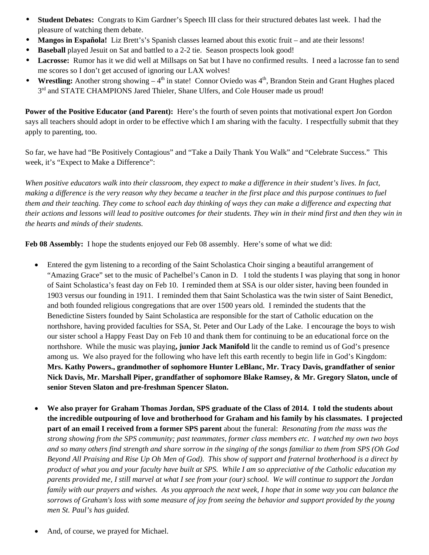- w **Student Debates:** Congrats to Kim Gardner's Speech III class for their structured debates last week. I had the pleasure of watching them debate.
- **Mangos in Española!** Liz Brett's's Spanish classes learned about this exotic fruit and ate their lessons!
- **Baseball** played Jesuit on Sat and battled to a 2-2 tie. Season prospects look good!
- Lacrosse: Rumor has it we did well at Millsaps on Sat but I have no confirmed results. I need a lacrosse fan to send me scores so I don't get accused of ignoring our LAX wolves!
- **Wrestling:** Another strong showing  $-4<sup>th</sup>$  in state! Connor Oviedo was  $4<sup>th</sup>$ , Brandon Stein and Grant Hughes placed  $3<sup>rd</sup>$  and STATE CHAMPIONS Jared Thieler, Shane Ulfers, and Cole Houser made us proud!

**Power of the Positive Educator (and Parent):** Here's the fourth of seven points that motivational expert Jon Gordon says all teachers should adopt in order to be effective which I am sharing with the faculty. I respectfully submit that they apply to parenting, too.

So far, we have had "Be Positively Contagious" and "Take a Daily Thank You Walk" and "Celebrate Success." This week, it's "Expect to Make a Difference":

*When positive educators walk into their classroom, they expect to make a difference in their student's lives. In fact, making a difference is the very reason why they became a teacher in the first place and this purpose continues to fuel them and their teaching. They come to school each day thinking of ways they can make a difference and expecting that their actions and lessons will lead to positive outcomes for their students. They win in their mind first and then they win in the hearts and minds of their students.* 

**Feb 08 Assembly:** I hope the students enjoyed our Feb 08 assembly. Here's some of what we did:

- Entered the gym listening to a recording of the Saint Scholastica Choir singing a beautiful arrangement of "Amazing Grace" set to the music of Pachelbel's Canon in D. I told the students I was playing that song in honor of Saint Scholastica's feast day on Feb 10. I reminded them at SSA is our older sister, having been founded in 1903 versus our founding in 1911. I reminded them that Saint Scholastica was the twin sister of Saint Benedict, and both founded religious congregations that are over 1500 years old. I reminded the students that the Benedictine Sisters founded by Saint Scholastica are responsible for the start of Catholic education on the northshore, having provided faculties for SSA, St. Peter and Our Lady of the Lake. I encourage the boys to wish our sister school a Happy Feast Day on Feb 10 and thank them for continuing to be an educational force on the northshore. While the music was playing**, junior Jack Manifold** lit the candle to remind us of God's presence among us. We also prayed for the following who have left this earth recently to begin life in God's Kingdom: **Mrs. Kathy Powers., grandmother of sophomore Hunter LeBlanc, Mr. Tracy Davis, grandfather of senior Nick Davis, Mr. Marshall Piper, grandfather of sophomore Blake Ramsey, & Mr. Gregory Slaton, uncle of senior Steven Slaton and pre-freshman Spencer Slaton.**
- **We also prayer for Graham Thomas Jordan, SPS graduate of the Class of 2014. I told the students about the incredible outpouring of love and brotherhood for Graham and his family by his classmates. I projected part of an email I received from a former SPS parent** about the funeral: *Resonating from the mass was the strong showing from the SPS community; past teammates, former class members etc. I watched my own two boys and so many others find strength and share sorrow in the singing of the songs familiar to them from SPS (Oh God Beyond All Praising and Rise Up Oh Men of God). This show of support and fraternal brotherhood is a direct by product of what you and your faculty have built at SPS. While I am so appreciative of the Catholic education my parents provided me, I still marvel at what I see from your (our) school. We will continue to support the Jordan family with our prayers and wishes. As you approach the next week, I hope that in some way you can balance the sorrows of Graham's loss with some measure of joy from seeing the behavior and support provided by the young men St. Paul's has guided.*
- And, of course, we prayed for Michael.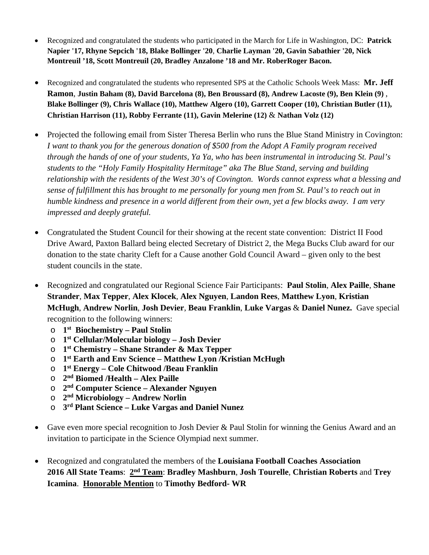- Recognized and congratulated the students who participated in the March for Life in Washington, DC: **Patrick Napier '17, Rhyne Sepcich '18, Blake Bollinger '20**, **Charlie Layman '20, Gavin Sabathier '20, Nick Montreuil '18, Scott Montreuil (20, Bradley Anzalone '18 and Mr. RoberRoger Bacon.**
- Recognized and congratulated the students who represented SPS at the Catholic Schools Week Mass: **Mr. Jeff Ramon**, **Justin Baham (8), David Barcelona (8), Ben Broussard (8), Andrew Lacoste (9), Ben Klein (9)** , **Blake Bollinger (9), Chris Wallace (10), Matthew Algero (10), Garrett Cooper (10), Christian Butler (11), Christian Harrison (11), Robby Ferrante (11), Gavin Melerine (12)** & **Nathan Volz (12)**
- Projected the following email from Sister Theresa Berlin who runs the Blue Stand Ministry in Covington: *I want to thank you for the generous donation of \$500 from the Adopt A Family program received through the hands of one of your students, Ya Ya, who has been instrumental in introducing St. Paul's students to the "Holy Family Hospitality Hermitage" aka The Blue Stand, serving and building relationship with the residents of the West 30's of Covington. Words cannot express what a blessing and sense of fulfillment this has brought to me personally for young men from St. Paul's to reach out in humble kindness and presence in a world different from their own, yet a few blocks away. I am very impressed and deeply grateful.*
- Congratulated the Student Council for their showing at the recent state convention: District II Food Drive Award, Paxton Ballard being elected Secretary of District 2, the Mega Bucks Club award for our donation to the state charity Cleft for a Cause another Gold Council Award – given only to the best student councils in the state.
- Recognized and congratulated our Regional Science Fair Participants: **Paul Stolin**, **Alex Paille**, **Shane Strander**, **Max Tepper**, **Alex Klocek**, **Alex Nguyen**, **Landon Rees**, **Matthew Lyon**, **Kristian McHugh**, **Andrew Norlin**, **Josh Devier**, **Beau Franklin**, **Luke Vargas** & **Daniel Nunez.** Gave special recognition to the following winners:
	- o **1st Biochemistry Paul Stolin**
	- o **1st Cellular/Molecular biology Josh Devier**
	- o **1st Chemistry Shane Strander & Max Tepper**
	- o **1st Earth and Env Science Matthew Lyon /Kristian McHugh**
	- o **1st Energy Cole Chitwood /Beau Franklin**
	- o **2nd Biomed /Health Alex Paille**
	- o **2nd Computer Science Alexander Nguyen**
	- o **2nd Microbiology Andrew Norlin**
	- o **3rd Plant Science Luke Vargas and Daniel Nunez**
- Gave even more special recognition to Josh Devier & Paul Stolin for winning the Genius Award and an invitation to participate in the Science Olympiad next summer.
- Recognized and congratulated the members of the **Louisiana Football Coaches Association 2016 All State Teams**: **2nd Team**: **Bradley Mashburn**, **Josh Tourelle**, **Christian Roberts** and **Trey Icamina**. **Honorable Mention** to **Timothy Bedford- WR**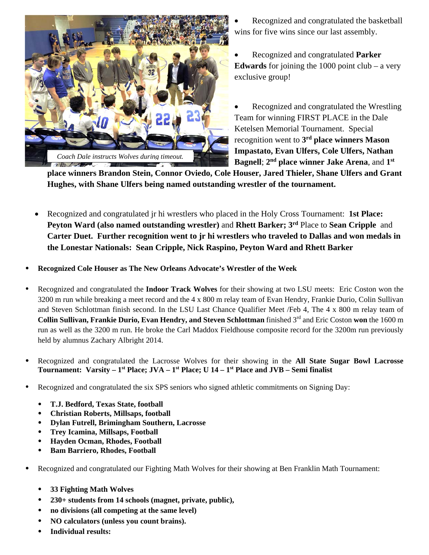

- Recognized and congratulated the basketball wins for five wins since our last assembly.
- Recognized and congratulated **Parker Edwards** for joining the 1000 point club – a very exclusive group!
- Recognized and congratulated the Wrestling Team for winning FIRST PLACE in the Dale Ketelsen Memorial Tournament. Special recognition went to **3rd place winners Mason Impastato, Evan Ulfers, Cole Ulfers, Nathan Bagnell**; **2nd place winner Jake Arena**, and **1st**

**place winners Brandon Stein, Connor Oviedo, Cole Houser, Jared Thieler, Shane Ulfers and Grant Hughes, with Shane Ulfers being named outstanding wrestler of the tournament.**

- Recognized and congratulated jr hi wrestlers who placed in the Holy Cross Tournament: **1st Place: Peyton Ward (also named outstanding wrestler)** and **Rhett Barker; 3rd** Place to **Sean Cripple** and **Carter Duet. Further recognition went to jr hi wrestlers who traveled to Dallas and won medals in the Lonestar Nationals: Sean Cripple, Nick Raspino, Peyton Ward and Rhett Barker**
- **Recognized Cole Houser as The New Orleans Advocate's Wrestler of the Week**
- Recognized and congratulated the **Indoor Track Wolves** for their showing at two LSU meets: Eric Coston won the 3200 m run while breaking a meet record and the 4 x 800 m relay team of Evan Hendry, Frankie Durio, Colin Sullivan and Steven Schlottman finish second. In the LSU Last Chance Qualifier Meet /Feb 4, The 4 x 800 m relay team of **Collin Sullivan, Frankie Durio, Evan Hendry, and Steven Schlottman** finished 3<sup>rd</sup> and Eric Coston won the 1600 m run as well as the 3200 m run. He broke the Carl Maddox Fieldhouse composite record for the 3200m run previously held by alumnus Zachary Albright 2014.
- Recognized and congratulated the Lacrosse Wolves for their showing in the **All State Sugar Bowl Lacrosse**  Tournament: Varsity – 1<sup>st</sup> Place; JVA – 1<sup>st</sup> Place; U 14 – 1<sup>st</sup> Place and JVB – Semi finalist
- Recognized and congratulated the six SPS seniors who signed athletic commitments on Signing Day:
	- **T.J. Bedford, Texas State, football**
	- **Christian Roberts, Millsaps, football**
	- **Dylan Futrell, Brimingham Southern, Lacrosse**
	- **Trey Icamina, Millsaps, Football**
	- **Hayden Ocman, Rhodes, Football**
	- **Bam Barriero, Rhodes, Football**
- Recognized and congratulated our Fighting Math Wolves for their showing at Ben Franklin Math Tournament:
	- **33 Fighting Math Wolves**
	- **230+ students from 14 schools (magnet, private, public),**
	- **no divisions (all competing at the same level)**
	- **NO calculators (unless you count brains).**
	- **Individual results:**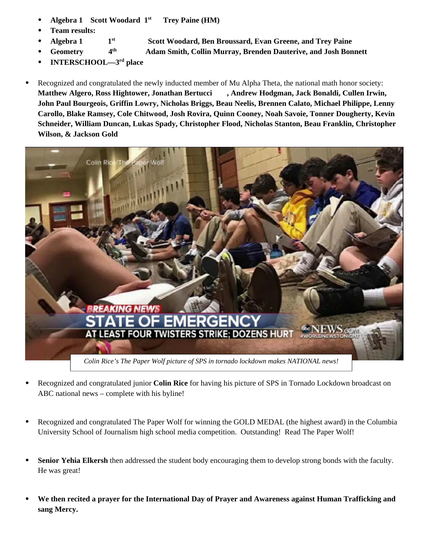- **Algebra 1 Scott Woodard 1st Trey Paine (HM)**
- **Team results:**
- Algebra 1 1<sup>st</sup> Scott Woodard, Ben Broussard, Evan Greene, and Trey Paine
- **Geometry 4th Adam Smith, Collin Murray, Brenden Dauterive, and Josh Bonnett**
- **INTERSCHOOL—3rd place**
- Recognized and congratulated the newly inducted member of Mu Alpha Theta, the national math honor society: **Matthew Algero, Ross Hightower, Jonathan Bertucci , Andrew Hodgman, Jack Bonaldi, Cullen Irwin, John Paul Bourgeois, Griffin Lowry, Nicholas Briggs, Beau Neelis, Brennen Calato, Michael Philippe, Lenny Carollo, Blake Ramsey, Cole Chitwood, Josh Rovira, Quinn Cooney, Noah Savoie, Tonner Dougherty, Kevin Schneider, William Duncan, Lukas Spady, Christopher Flood, Nicholas Stanton, Beau Franklin, Christopher Wilson, & Jackson Gold**



- Recognized and congratulated junior **Colin Rice** for having his picture of SPS in Tornado Lockdown broadcast on ABC national news – complete with his byline!
- Recognized and congratulated The Paper Wolf for winning the GOLD MEDAL (the highest award) in the Columbia University School of Journalism high school media competition. Outstanding! Read The Paper Wolf!
- **Senior Yehia Elkersh** then addressed the student body encouraging them to develop strong bonds with the faculty. He was great!
- **We then recited a prayer for the International Day of Prayer and Awareness against Human Trafficking and sang Mercy.**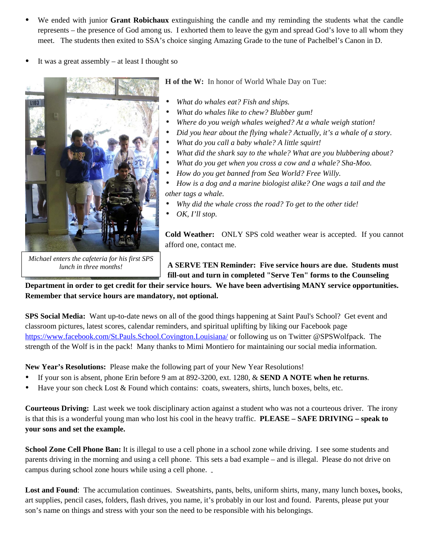- We ended with junior **Grant Robichaux** extinguishing the candle and my reminding the students what the candle represents – the presence of God among us. I exhorted them to leave the gym and spread God's love to all whom they meet.The students then exited to SSA's choice singing Amazing Grade to the tune of Pachelbel's Canon in D.
- It was a great assembly at least I thought so



**H of the W:** In honor of World Whale Day on Tue:

- What do whales eat? Fish and ships.
- What do whales like to chew? Blubber gum!
- Where do you weigh whales weighed? At a whale weigh station!
- *Did you hear about the flying whale? Actually, it's a whale of a story.*
- What do you call a baby whale? A little squirt!
- What did the shark say to the whale? What are you blubbering about?
- What do you get when you cross a cow and a whale? Sha-Moo.
- How do you get banned from Sea World? Free Willy.

w *How is a dog and a marine biologist alike? One wags a tail and the other tags a whale.* 

- Why did the whale cross the road? To get to the other tide!
- $\bullet$  *OK, I'll stop.*

*Michael enters the cafeteria for his first SPS lunch in three months!* 

**Cold Weather:** ONLY SPS cold weather wear is accepted. If you cannot afford one, contact me.

**A SERVE TEN Reminder: Five service hours are due. Students must fill-out and turn in completed "Serve Ten" forms to the Counseling** 

**Department in order to get credit for their service hours. We have been advertising MANY service opportunities. Remember that service hours are mandatory, not optional.** 

**SPS Social Media:** Want up-to-date news on all of the good things happening at Saint Paul's School? Get event and classroom pictures, latest scores, calendar reminders, and spiritual uplifting by liking our Facebook page https://www.facebook.com/St.Pauls.School.Covington.Louisiana/ or following us on Twitter @SPSWolfpack. The strength of the Wolf is in the pack! Many thanks to Mimi Montiero for maintaining our social media information.

**New Year's Resolutions:** Please make the following part of your New Year Resolutions!

- If your son is absent, phone Erin before 9 am at 892-3200, ext. 1280, & **SEND A NOTE when he returns**.
- Have your son check Lost & Found which contains: coats, sweaters, shirts, lunch boxes, belts, etc.

**Courteous Driving:** Last week we took disciplinary action against a student who was not a courteous driver. The irony is that this is a wonderful young man who lost his cool in the heavy traffic. **PLEASE – SAFE DRIVING – speak to your sons and set the example.**

**School Zone Cell Phone Ban:** It is illegal to use a cell phone in a school zone while driving. I see some students and parents driving in the morning and using a cell phone. This sets a bad example – and is illegal. Please do not drive on campus during school zone hours while using a cell phone.

**Lost and Found**: The accumulation continues. Sweatshirts, pants, belts, uniform shirts, many, many lunch boxes**,** books, art supplies, pencil cases, folders, flash drives, you name, it's probably in our lost and found. Parents, please put your son's name on things and stress with your son the need to be responsible with his belongings.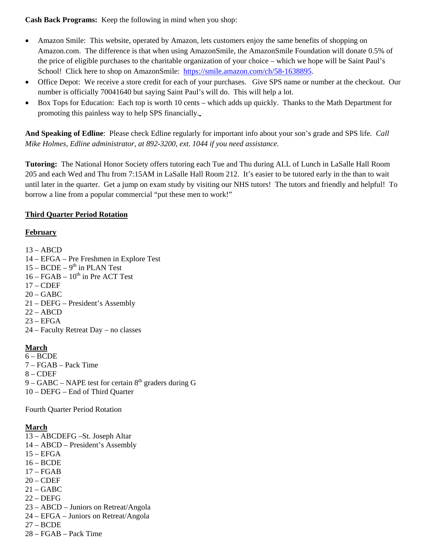**Cash Back Programs:** Keep the following in mind when you shop:

- Amazon Smile: This website, operated by Amazon, lets customers enjoy the same benefits of shopping on Amazon.com. The difference is that when using AmazonSmile, the AmazonSmile Foundation will donate 0.5% of the price of eligible purchases to the charitable organization of your choice – which we hope will be Saint Paul's School! Click here to shop on AmazonSmile: https://smile.amazon.com/ch/58-1638895.
- Office Depot: We receive a store credit for each of your purchases. Give SPS name or number at the checkout. Our number is officially 70041640 but saying Saint Paul's will do. This will help a lot.
- Box Tops for Education: Each top is worth 10 cents which adds up quickly. Thanks to the Math Department for promoting this painless way to help SPS financially.

**And Speaking of Edline**: Please check Edline regularly for important info about your son's grade and SPS life. *Call Mike Holmes, Edline administrator, at 892-3200, ext. 1044 if you need assistance.* 

**Tutoring:** The National Honor Society offers tutoring each Tue and Thu during ALL of Lunch in LaSalle Hall Room 205 and each Wed and Thu from 7:15AM in LaSalle Hall Room 212. It's easier to be tutored early in the than to wait until later in the quarter. Get a jump on exam study by visiting our NHS tutors! The tutors and friendly and helpful! To borrow a line from a popular commercial "put these men to work!"

#### **Third Quarter Period Rotation**

#### **February**

 $13 - ABCD$ 

- 14 EFGA Pre Freshmen in Explore Test
- $15 BCDE 9<sup>th</sup>$  in PLAN Test
- $16 FGAB 10<sup>th</sup>$  in Pre ACT Test
- 17 CDEF
- $20 GABC$
- 21 DEFG President's Assembly
- $22 ABCD$
- $23 EFGA$
- 24 Faculty Retreat Day no classes

### **March**

- $6 BCDE$
- 7 FGAB Pack Time
- 8 CDEF
- $9 GABC NAPE$  test for certain  $8<sup>th</sup>$  graders during G
- 10 DEFG End of Third Quarter

Fourth Quarter Period Rotation

# **March**

- 13 ABCDEFG –St. Joseph Altar 14 – ABCD – President's Assembly  $15 - EFGA$ 16 – BCDE 17 – FGAB  $20 - CDEF$ 21 – GABC 22 – DEFG 23 – ABCD – Juniors on Retreat/Angola 24 – EFGA – Juniors on Retreat/Angola 27 – BCDE
- 28 FGAB Pack Time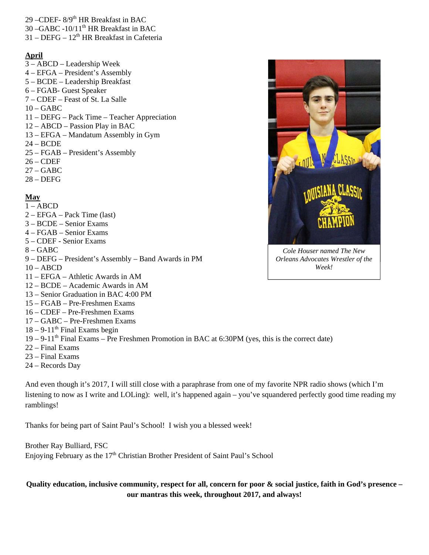- 29 –CDEF- 8/9th HR Breakfast in BAC
- 30 –GABC -10/11<sup>th</sup> HR Breakfast in BAC
- $31 DEFG 12<sup>th</sup> HR Breakfast in Cafeteria$

#### **April**

- 3 ABCD Leadership Week
- 4 EFGA President's Assembly
- 5 BCDE Leadership Breakfast
- 6 FGAB- Guest Speaker
- 7 CDEF Feast of St. La Salle
- $10 GABC$
- 11 DEFG Pack Time Teacher Appreciation
- 12 ABCD Passion Play in BAC
- 13 EFGA Mandatum Assembly in Gym
- 24 BCDE
- 25 FGAB President's Assembly
- $26 CDEF$
- 27 GABC
- $28 DEFG$

#### **May**

#### $1 - ABCD$

- 2 EFGA Pack Time (last)
- 3 BCDE Senior Exams
- 4 FGAB Senior Exams
- 5 CDEF Senior Exams
- 8 GABC
- 9 DEFG President's Assembly Band Awards in PM
- $10 ABCD$
- 11 EFGA Athletic Awards in AM
- 12 BCDE Academic Awards in AM
- 13 Senior Graduation in BAC 4:00 PM
- 15 FGAB Pre-Freshmen Exams
- 16 CDEF Pre-Freshmen Exams
- 17 GABC Pre-Freshmen Exams
- $18 9 11$ <sup>th</sup> Final Exams begin
- $19 9 11$ <sup>th</sup> Final Exams Pre Freshmen Promotion in BAC at 6:30PM (yes, this is the correct date)
- 22 Final Exams
- 23 Final Exams
- 24 Records Day

And even though it's 2017, I will still close with a paraphrase from one of my favorite NPR radio shows (which I'm listening to now as I write and LOLing): well, it's happened again – you've squandered perfectly good time reading my ramblings!

Thanks for being part of Saint Paul's School! I wish you a blessed week!

Brother Ray Bulliard, FSC Enjoying February as the  $17<sup>th</sup>$  Christian Brother President of Saint Paul's School

#### **Quality education, inclusive community, respect for all, concern for poor & social justice, faith in God's presence – our mantras this week, throughout 2017, and always!**



*Cole Houser named The New Orleans Advocates Wrestler of the Week!*